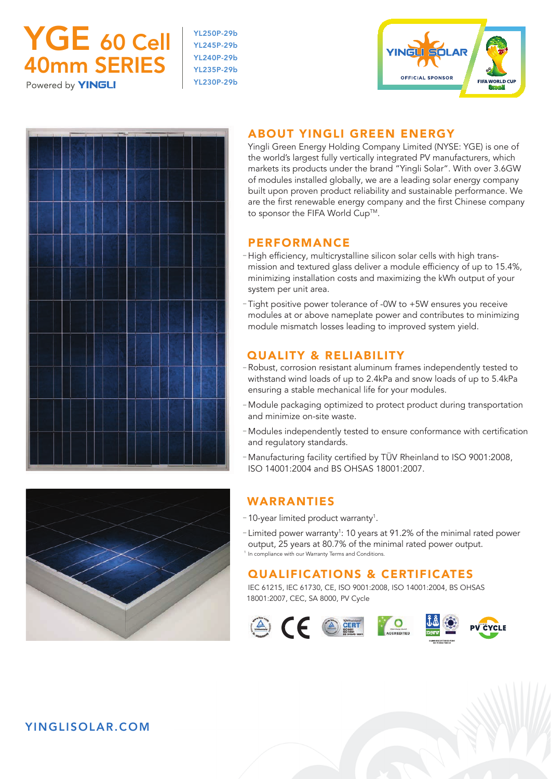

YL250P-29b YL245P-29b YL240P-29b YL235P-29b YL230P-29b





# ABOUT YINGLI GREEN ENERGY

 Yingli Green Energy Holding Company Limited (NYSE: YGE) is one of the world's largest fully vertically integrated PV manufacturers, which markets its products under the brand "Yingli Solar". With over 3.6GW of modules installed globally, we are a leading solar energy company built upon proven product reliability and sustainable performance. We are the first renewable energy company and the first Chinese company to sponsor the FIFA World Cup™.

## **PERFORMANCE**

- High efficiency, multicrystalline silicon solar cells with high transmission and textured glass deliver a module efficiency of up to 15.4%, minimizing installation costs and maximizing the kWh output of your system per unit area.
- Tight positive power tolerance of -0W to +5W ensures you receive modules at or above nameplate power and contributes to minimizing module mismatch losses leading to improved system yield.

## QUALITY & RELIABILITY

- Robust, corrosion resistant aluminum frames independently tested to withstand wind loads of up to 2.4kPa and snow loads of up to 5.4kPa ensuring a stable mechanical life for your modules.
- Module packaging optimized to protect product during transportation and minimize on-site waste.
- Modules independently tested to ensure conformance with certification and regulatory standards.
- Manufacturing facility certified by TÜV Rheinland to ISO 9001:2008, ISO 14001:2004 and BS OHSAS 18001:2007.

# WARRANTIES

- 10-year limited product warranty<sup>1</sup>.
- Limited power warranty<sup>1</sup>: 10 years at 91.2% of the minimal rated power output, 25 years at 80.7% of the minimal rated power output. <sup>1</sup> In compliance with our Warranty Terms and Conditions.

# QUALIFICATIONS & CERTIFICATES

IEC 61215, IEC 61730, CE, ISO 9001:2008, ISO 14001:2004, BS OHSAS 18001:2007, CEC, SA 8000, PV Cycle





YINGLISOLAR.COM